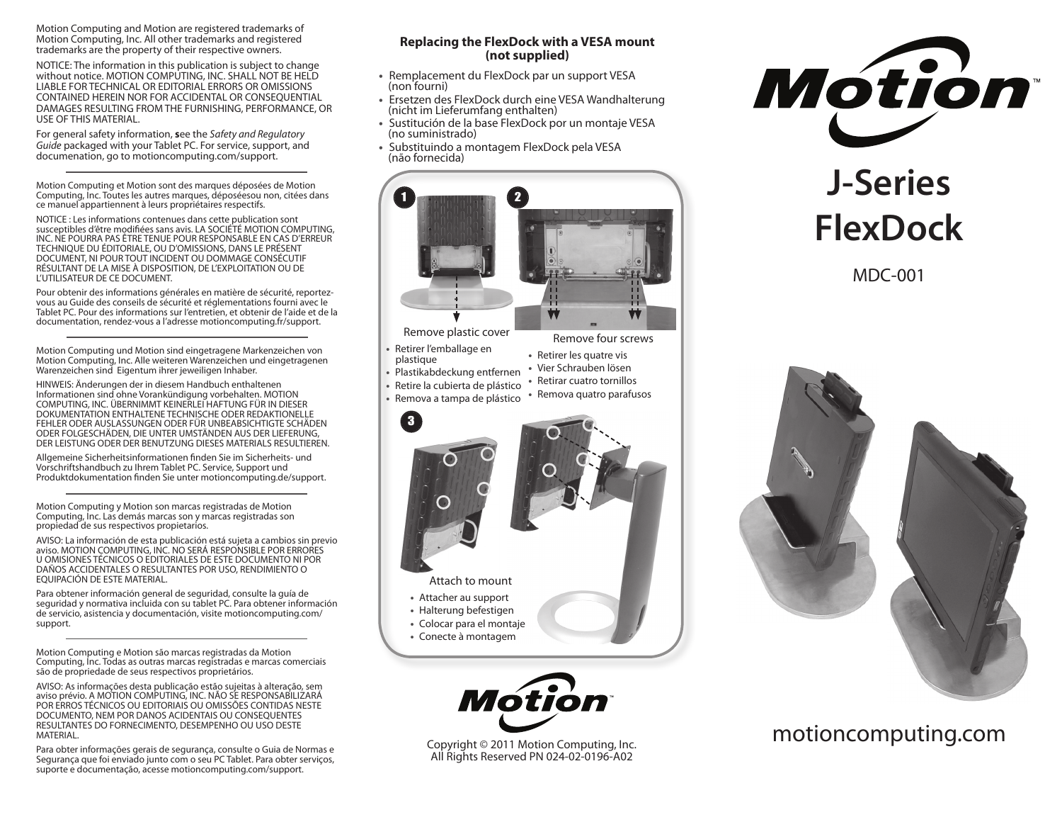Motion Computing and Motion are registered trademarks of Motion Computing, Inc. All other trademarks and registered trademarks are the property of their respective owners.

NOTICE: The information in this publication is subject to change without notice. MOTION COMPUTING, INC. SHALL NOT BE HELD LIABLE FOR TECHNICAL OR EDITORIAL ERRORS OR OMISSIONS CONTAINED HEREIN NOR FOR ACCIDENTAL OR CONSEQUENTIAL DAMAGES RESULTING FROM THE FURNISHING, PERFORMANCE, OR USE OF THIS MATERIAL.

For general safety information, **s**ee the *Safety and Regulatory Guide* packaged with your Tablet PC. For service, support, and documenation, go to motioncomputing.com/support.

Motion Computing et Motion sont des marques déposées de Motion Computing, Inc. Toutes les autres marques, déposéesou non, citées dans ce manuel appartiennent à leurs propriétaires respectifs.

NOTICE : Les informations contenues dans cette publication sont susceptibles d'être modifiées sans avis. LA SOCIÉTÉ MOTION COMPUTING, INC. NE POURRA PAS ÊTRE TENUE POUR RESPONSABLE EN CAS D'ERREUR TECHNIQUE DU ÉDITORIALE, OU D'OMISSIONS, DANS LE PRÉSENT DOCUMENT, NI POUR TOUT INCIDENT OU DOMMAGE CONSÉCUTIF RÉSULTANT DE LA MISE À DISPOSITION, DE L'EXPLOITATION OU DE L'UTILISATEUR DE CE DOCUMENT.

Pour obtenir des informations générales en matière de sécurité, reportezvous au Guide des conseils de sécurité et réglementations fourni avec le Tablet PC. Pour des informations sur l'entretien, et obtenir de l'aide et de la documentation, rendez-vous а l'adresse motioncomputing.fr/support.

Motion Computing und Motion sind eingetragene Markenzeichen von Motion Computing, Inc. Alle weiteren Warenzeichen und eingetragenen Warenzeichen sind Eigentum ihrer jeweiligen Inhaber.

HINWEIS: Änderungen der in diesem Handbuch enthaltenen Informationen sind ohne Vorankündigung vorbehalten. MOTION COMPUTING, INC. ÜBERNIMMT KEINERLEI HAFTUNG FÜR IN DIESER DOKUMENTATION ENTHALTENE TECHNISCHE ODER REDAKTIONELLE FEHLER ODER AUSLASSUNGEN ODER FÜR UNBEABSICHTIGTE SCHÄDEN ODER FOLGESCHÄDEN, DIE UNTER UMSTÄNDEN AUS DER LIEFERUNG, DER LEISTUNG ODER DER BENUTZUNG DIESES MATERIALS RESULTIEREN.

Allgemeine Sicherheitsinformationen finden Sie im Sicherheits- und Vorschriftshandbuch zu Ihrem Tablet PC. Service, Support und Produktdokumentation finden Sie unter motioncomputing.de/support.

Motion Computing y Motion son marcas registradas de Motion Computing, Inc. Las demás marcas son y marcas registradas son propiedad de sus respectivos propietarios.

AVISO: La información de esta publicación está sujeta a cambios sin previo aviso. MOTION COMPUTING, INC. NO SERÁ RESPONSIBLE POR ERRORES U OMISIONES TÉCNICOS O EDITORIALES DE ESTE DOCUMENTO NI POR DAÑOS ACCIDENTALES O RESULTANTES POR USO, RENDIMIENTO O EQUIPACIÓN DE ESTE MATERIAL.

Para obtener información general de seguridad, consulte la guía de seguridad y normativa incluida con su tablet PC. Para obtener información de servicio, asistencia y documentación, visite motioncomputing.com/ support.

Motion Computing e Motion são marcas registradas da Motion Computing, Inc. Todas as outras marcas registradas e marcas comerciais são de propriedade de seus respectivos proprietários.

AVISO: As informações desta publicação estão sujeitas à alteração, sem aviso prévio. A MOTION COMPUTING, INC. NÃO SE RESPONSABILIZARÁ POR ERROS TÉCNICOS OU EDITORIAIS OU OMISSÕES CONTIDAS NESTE DOCUMENTO, NEM POR DANOS ACIDENTAIS OU CONSEQUENTES RESULTANTES DO FORNECIMENTO, DESEMPENHO OU USO DESTE MATERIAL.

Para obter informações gerais de segurança, consulte o Guia de Normas e Segurança que foi enviado junto com o seu PC Tablet. Para obter serviços, suporte e documentação, acesse motioncomputing.com/support.

#### **Replacing the FlexDock with a VESA mount (not supplied)**

- Remplacement du FlexDock par un support VESA (non fourni)
- Ersetzen des FlexDock durch eine VESA Wandhalterung (nicht im Lieferumfang enthalten)
- Sustitución de la base FlexDock por un montaje VESA (no suministrado)
- Substituindo a montagem FlexDock pela VESA (não fornecida)





Copyright © 2011 Motion Computing, Inc. All Rights Reserved PN 024-02-0196-A02



# **J-Series FlexDock**

MDC-001



motioncomputing.com